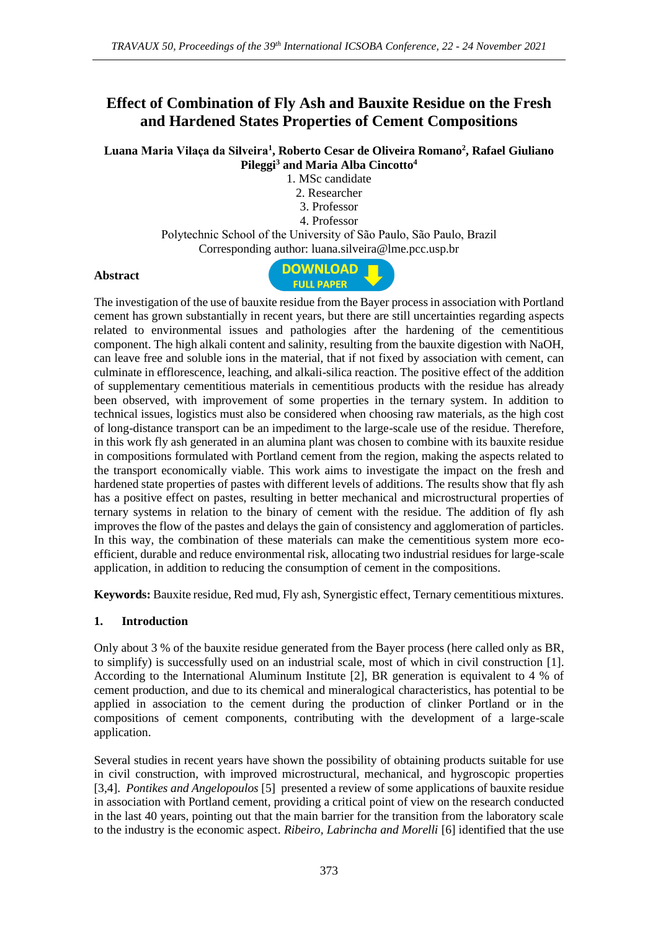# **Effect of Combination of Fly Ash and Bauxite Residue on the Fresh and Hardened States Properties of Cement Compositions**

**Luana Maria Vilaça da Silveira<sup>1</sup> , Roberto Cesar de Oliveira Romano<sup>2</sup> , Rafael Giuliano Pileggi<sup>3</sup> and Maria Alba Cincotto<sup>4</sup>**

1. MSc candidate

2. Researcher

3. Professor

4. Professor

Polytechnic School of the University of São Paulo, São Paulo, Brazil Corresponding author: luana.silveira@lme.pcc.usp.br

#### **Abstract**



The investigation of the use of bauxite residue from the Bayer process in association with Portland cement has grown substantially in recent years, but there are still uncertainties regarding aspects related to environmental issues and pathologies after the hardening of the cementitious component. The high alkali content and salinity, resulting from the bauxite digestion with NaOH, can leave free and soluble ions in the material, that if not fixed by association with cement, can culminate in efflorescence, leaching, and alkali-silica reaction. The positive effect of the addition of supplementary cementitious materials in cementitious products with the residue has already been observed, with improvement of some properties in the ternary system. In addition to technical issues, logistics must also be considered when choosing raw materials, as the high cost of long-distance transport can be an impediment to the large-scale use of the residue. Therefore, in this work fly ash generated in an alumina plant was chosen to combine with its bauxite residue in compositions formulated with Portland cement from the region, making the aspects related to the transport economically viable. This work aims to investigate the impact on the fresh and hardened state properties of pastes with different levels of additions. The results show that fly ash has a positive effect on pastes, resulting in better mechanical and microstructural properties of ternary systems in relation to the binary of cement with the residue. The addition of fly ash improves the flow of the pastes and delays the gain of consistency and agglomeration of particles. In this way, the combination of these materials can make the cementitious system more ecoefficient, durable and reduce environmental risk, allocating two industrial residues for large-scale application, in addition to reducing the consumption of cement in the compositions.

**Keywords:** Bauxite residue, Red mud, Fly ash, Synergistic effect, Ternary cementitious mixtures.

### **1. Introduction**

Only about 3 % of the bauxite residue generated from the Bayer process (here called only as BR, to simplify) is successfully used on an industrial scale, most of which in civil construction [1]. According to the International Aluminum Institute [2], BR generation is equivalent to 4 % of cement production, and due to its chemical and mineralogical characteristics, has potential to be applied in association to the cement during the production of clinker Portland or in the compositions of cement components, contributing with the development of a large-scale application.

Several studies in recent years have shown the possibility of obtaining products suitable for use in civil construction, with improved microstructural, mechanical, and hygroscopic properties [3,4]. *Pontikes and Angelopoulos* [5] presented a review of some applications of bauxite residue in association with Portland cement, providing a critical point of view on the research conducted in the last 40 years, pointing out that the main barrier for the transition from the laboratory scale to the industry is the economic aspect. *Ribeiro, Labrincha and Morelli* [6] identified that the use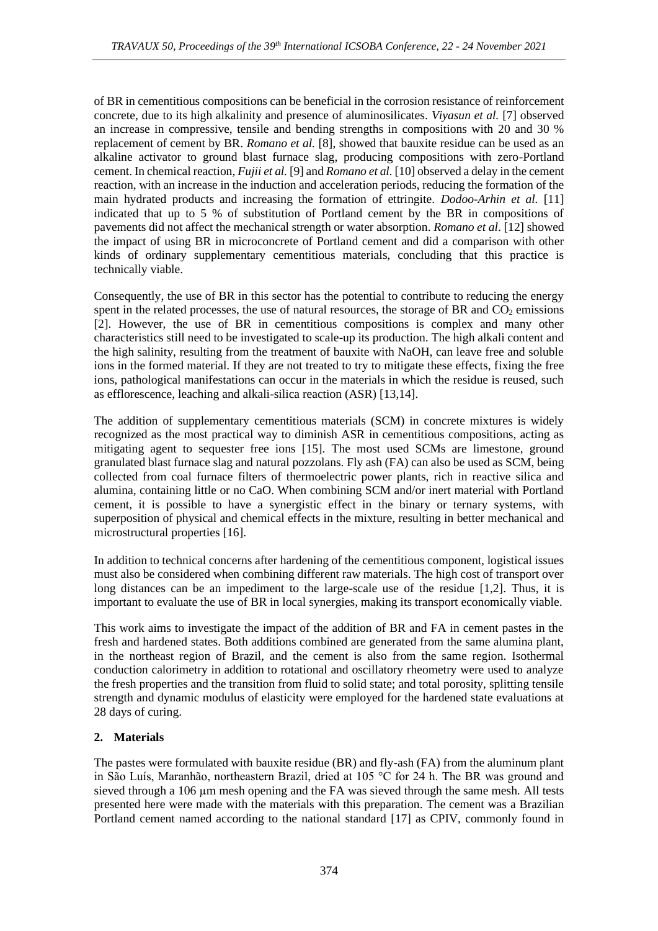of BR in cementitious compositions can be beneficial in the corrosion resistance of reinforcement concrete, due to its high alkalinity and presence of aluminosilicates. *Viyasun et al.* [7] observed an increase in compressive, tensile and bending strengths in compositions with 20 and 30 % replacement of cement by BR. *Romano et al.* [8], showed that bauxite residue can be used as an alkaline activator to ground blast furnace slag, producing compositions with zero-Portland cement. In chemical reaction, *Fujii et al.* [9] and *Romano et al.* [10] observed a delay in the cement reaction, with an increase in the induction and acceleration periods, reducing the formation of the main hydrated products and increasing the formation of ettringite. *Dodoo-Arhin et al.* [11] indicated that up to 5 % of substitution of Portland cement by the BR in compositions of pavements did not affect the mechanical strength or water absorption. *Romano et al*. [12] showed the impact of using BR in microconcrete of Portland cement and did a comparison with other kinds of ordinary supplementary cementitious materials, concluding that this practice is technically viable.

Consequently, the use of BR in this sector has the potential to contribute to reducing the energy spent in the related processes, the use of natural resources, the storage of BR and  $CO<sub>2</sub>$  emissions [2]. However, the use of BR in cementitious compositions is complex and many other characteristics still need to be investigated to scale-up its production. The high alkali content and the high salinity, resulting from the treatment of bauxite with NaOH, can leave free and soluble ions in the formed material. If they are not treated to try to mitigate these effects, fixing the free ions, pathological manifestations can occur in the materials in which the residue is reused, such as efflorescence, leaching and alkali-silica reaction (ASR) [13,14].

The addition of supplementary cementitious materials (SCM) in concrete mixtures is widely recognized as the most practical way to diminish ASR in cementitious compositions, acting as mitigating agent to sequester free ions [15]. The most used SCMs are limestone, ground granulated blast furnace slag and natural pozzolans. Fly ash (FA) can also be used as SCM, being collected from coal furnace filters of thermoelectric power plants, rich in reactive silica and alumina, containing little or no CaO. When combining SCM and/or inert material with Portland cement, it is possible to have a synergistic effect in the binary or ternary systems, with superposition of physical and chemical effects in the mixture, resulting in better mechanical and microstructural properties [16].

In addition to technical concerns after hardening of the cementitious component, logistical issues must also be considered when combining different raw materials. The high cost of transport over long distances can be an impediment to the large-scale use of the residue [1,2]. Thus, it is important to evaluate the use of BR in local synergies, making its transport economically viable.

This work aims to investigate the impact of the addition of BR and FA in cement pastes in the fresh and hardened states. Both additions combined are generated from the same alumina plant, in the northeast region of Brazil, and the cement is also from the same region. Isothermal conduction calorimetry in addition to rotational and oscillatory rheometry were used to analyze the fresh properties and the transition from fluid to solid state; and total porosity, splitting tensile strength and dynamic modulus of elasticity were employed for the hardened state evaluations at 28 days of curing.

## **2. Materials**

The pastes were formulated with bauxite residue (BR) and fly-ash (FA) from the aluminum plant in São Luís, Maranhão, northeastern Brazil, dried at 105 °C for 24 h. The BR was ground and sieved through a 106 µm mesh opening and the FA was sieved through the same mesh. All tests presented here were made with the materials with this preparation. The cement was a Brazilian Portland cement named according to the national standard [17] as CPIV, commonly found in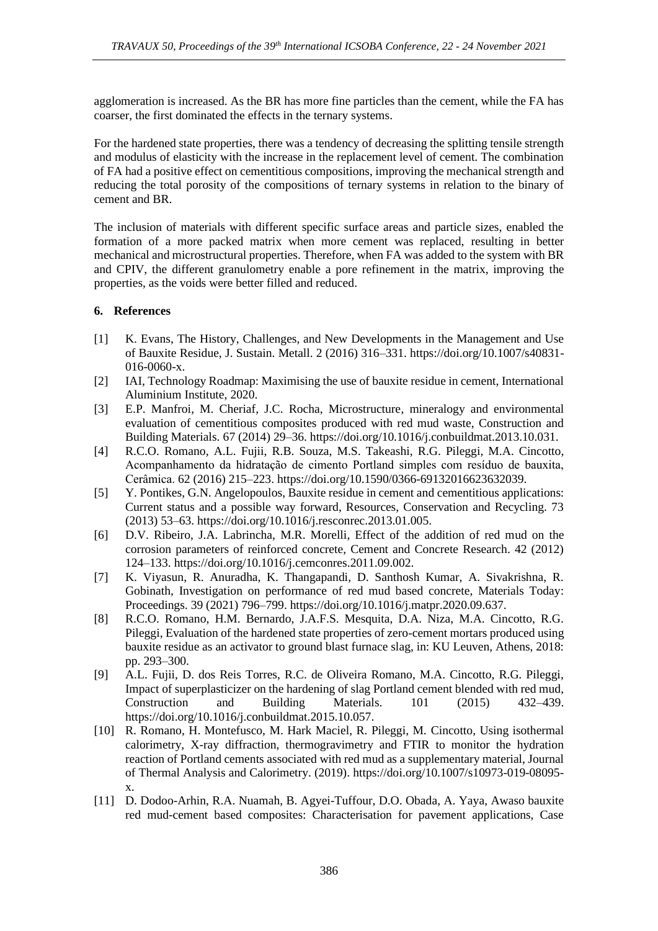agglomeration is increased. As the BR has more fine particles than the cement, while the FA has coarser, the first dominated the effects in the ternary systems.

For the hardened state properties, there was a tendency of decreasing the splitting tensile strength and modulus of elasticity with the increase in the replacement level of cement. The combination of FA had a positive effect on cementitious compositions, improving the mechanical strength and reducing the total porosity of the compositions of ternary systems in relation to the binary of cement and BR.

The inclusion of materials with different specific surface areas and particle sizes, enabled the formation of a more packed matrix when more cement was replaced, resulting in better mechanical and microstructural properties. Therefore, when FA was added to the system with BR and CPIV, the different granulometry enable a pore refinement in the matrix, improving the properties, as the voids were better filled and reduced.

### **6. References**

- [1] K. Evans, The History, Challenges, and New Developments in the Management and Use of Bauxite Residue, J. Sustain. Metall. 2 (2016) 316–331. https://doi.org/10.1007/s40831- 016-0060-x.
- [2] IAI, Technology Roadmap: Maximising the use of bauxite residue in cement, International Aluminium Institute, 2020.
- [3] E.P. Manfroi, M. Cheriaf, J.C. Rocha, Microstructure, mineralogy and environmental evaluation of cementitious composites produced with red mud waste, Construction and Building Materials. 67 (2014) 29–36. https://doi.org/10.1016/j.conbuildmat.2013.10.031.
- [4] R.C.O. Romano, A.L. Fujii, R.B. Souza, M.S. Takeashi, R.G. Pileggi, M.A. Cincotto, Acompanhamento da hidratação de cimento Portland simples com resíduo de bauxita, Cerâmica. 62 (2016) 215–223. https://doi.org/10.1590/0366-69132016623632039.
- [5] Y. Pontikes, G.N. Angelopoulos, Bauxite residue in cement and cementitious applications: Current status and a possible way forward, Resources, Conservation and Recycling. 73 (2013) 53–63. https://doi.org/10.1016/j.resconrec.2013.01.005.
- [6] D.V. Ribeiro, J.A. Labrincha, M.R. Morelli, Effect of the addition of red mud on the corrosion parameters of reinforced concrete, Cement and Concrete Research. 42 (2012) 124–133. https://doi.org/10.1016/j.cemconres.2011.09.002.
- [7] K. Viyasun, R. Anuradha, K. Thangapandi, D. Santhosh Kumar, A. Sivakrishna, R. Gobinath, Investigation on performance of red mud based concrete, Materials Today: Proceedings. 39 (2021) 796–799. https://doi.org/10.1016/j.matpr.2020.09.637.
- [8] R.C.O. Romano, H.M. Bernardo, J.A.F.S. Mesquita, D.A. Niza, M.A. Cincotto, R.G. Pileggi, Evaluation of the hardened state properties of zero-cement mortars produced using bauxite residue as an activator to ground blast furnace slag, in: KU Leuven, Athens, 2018: pp. 293–300.
- [9] A.L. Fujii, D. dos Reis Torres, R.C. de Oliveira Romano, M.A. Cincotto, R.G. Pileggi, Impact of superplasticizer on the hardening of slag Portland cement blended with red mud, Construction and Building Materials. 101 (2015) 432–439. https://doi.org/10.1016/j.conbuildmat.2015.10.057.
- [10] R. Romano, H. Montefusco, M. Hark Maciel, R. Pileggi, M. Cincotto, Using isothermal calorimetry, X-ray diffraction, thermogravimetry and FTIR to monitor the hydration reaction of Portland cements associated with red mud as a supplementary material, Journal of Thermal Analysis and Calorimetry. (2019). https://doi.org/10.1007/s10973-019-08095 x.
- [11] D. Dodoo-Arhin, R.A. Nuamah, B. Agyei-Tuffour, D.O. Obada, A. Yaya, Awaso bauxite red mud-cement based composites: Characterisation for pavement applications, Case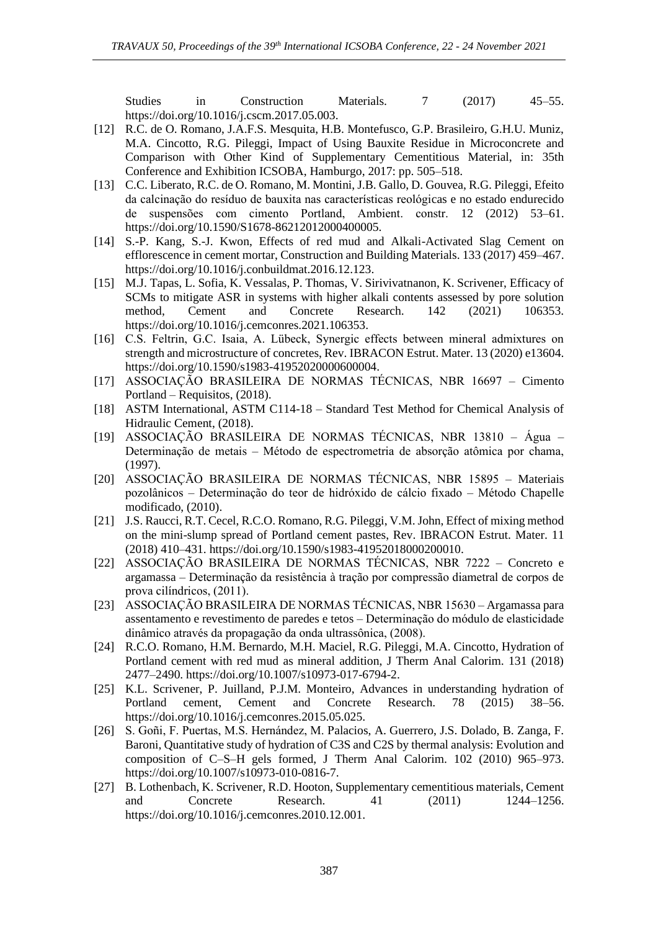Studies in Construction Materials. 7 (2017) 45–55. https://doi.org/10.1016/j.cscm.2017.05.003.

- [12] R.C. de O. Romano, J.A.F.S. Mesquita, H.B. Montefusco, G.P. Brasileiro, G.H.U. Muniz, M.A. Cincotto, R.G. Pileggi, Impact of Using Bauxite Residue in Microconcrete and Comparison with Other Kind of Supplementary Cementitious Material, in: 35th Conference and Exhibition ICSOBA, Hamburgo, 2017: pp. 505–518.
- [13] C.C. Liberato, R.C. de O. Romano, M. Montini, J.B. Gallo, D. Gouvea, R.G. Pileggi, Efeito da calcinação do resíduo de bauxita nas características reológicas e no estado endurecido de suspensões com cimento Portland, Ambient. constr. 12 (2012) 53–61. https://doi.org/10.1590/S1678-86212012000400005.
- [14] S.-P. Kang, S.-J. Kwon, Effects of red mud and Alkali-Activated Slag Cement on efflorescence in cement mortar, Construction and Building Materials. 133 (2017) 459–467. https://doi.org/10.1016/j.conbuildmat.2016.12.123.
- [15] M.J. Tapas, L. Sofia, K. Vessalas, P. Thomas, V. Sirivivatnanon, K. Scrivener, Efficacy of SCMs to mitigate ASR in systems with higher alkali contents assessed by pore solution method, Cement and Concrete Research. 142 (2021) 106353. https://doi.org/10.1016/j.cemconres.2021.106353.
- [16] C.S. Feltrin, G.C. Isaia, A. Lübeck, Synergic effects between mineral admixtures on strength and microstructure of concretes, Rev. IBRACON Estrut. Mater. 13 (2020) e13604. https://doi.org/10.1590/s1983-41952020000600004.
- [17] ASSOCIAÇÃO BRASILEIRA DE NORMAS TÉCNICAS, NBR 16697 Cimento Portland – Requisitos, (2018).
- [18] ASTM International, ASTM C114-18 Standard Test Method for Chemical Analysis of Hidraulic Cement, (2018).
- [19] ASSOCIAÇÃO BRASILEIRA DE NORMAS TÉCNICAS, NBR 13810 Água Determinação de metais – Método de espectrometria de absorção atômica por chama, (1997).
- [20] ASSOCIAÇÃO BRASILEIRA DE NORMAS TÉCNICAS, NBR 15895 Materiais pozolânicos – Determinação do teor de hidróxido de cálcio fixado – Método Chapelle modificado, (2010).
- [21] J.S. Raucci, R.T. Cecel, R.C.O. Romano, R.G. Pileggi, V.M. John, Effect of mixing method on the mini-slump spread of Portland cement pastes, Rev. IBRACON Estrut. Mater. 11 (2018) 410–431. https://doi.org/10.1590/s1983-41952018000200010.
- [22] ASSOCIAÇÃO BRASILEIRA DE NORMAS TÉCNICAS, NBR 7222 Concreto e argamassa – Determinação da resistência à tração por compressão diametral de corpos de prova cilíndricos, (2011).
- [23] ASSOCIAÇÃO BRASILEIRA DE NORMAS TÉCNICAS, NBR 15630 Argamassa para assentamento e revestimento de paredes e tetos – Determinação do módulo de elasticidade dinâmico através da propagação da onda ultrassônica, (2008).
- [24] R.C.O. Romano, H.M. Bernardo, M.H. Maciel, R.G. Pileggi, M.A. Cincotto, Hydration of Portland cement with red mud as mineral addition, J Therm Anal Calorim. 131 (2018) 2477–2490. https://doi.org/10.1007/s10973-017-6794-2.
- [25] K.L. Scrivener, P. Juilland, P.J.M. Monteiro, Advances in understanding hydration of Portland cement, Cement and Concrete Research. 78 (2015) 38–56. https://doi.org/10.1016/j.cemconres.2015.05.025.
- [26] S. Goñi, F. Puertas, M.S. Hernández, M. Palacios, A. Guerrero, J.S. Dolado, B. Zanga, F. Baroni, Quantitative study of hydration of C3S and C2S by thermal analysis: Evolution and composition of C–S–H gels formed, J Therm Anal Calorim. 102 (2010) 965–973. https://doi.org/10.1007/s10973-010-0816-7.
- [27] B. Lothenbach, K. Scrivener, R.D. Hooton, Supplementary cementitious materials, Cement and Concrete Research. 41 (2011) 1244–1256. https://doi.org/10.1016/j.cemconres.2010.12.001.